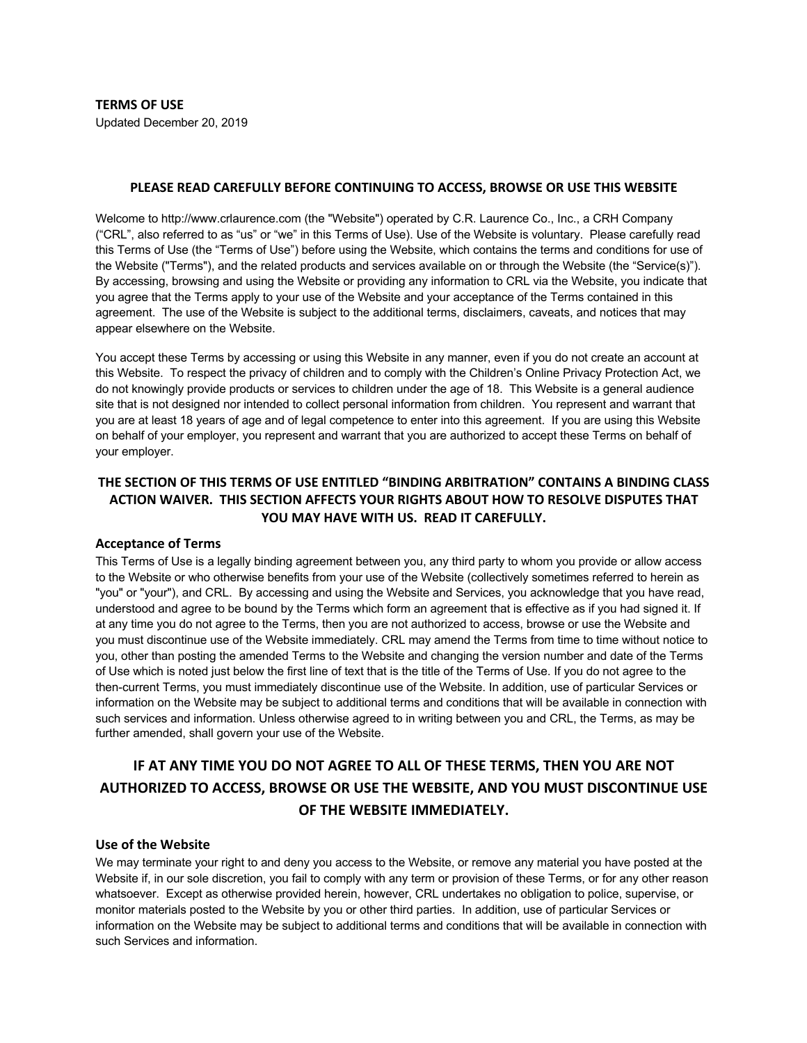**TERMS OF USE** Updated December 20, 2019

#### **PLEASE READ CAREFULLY BEFORE CONTINUING TO ACCESS, BROWSE OR USE THIS WEBSITE**

Welcome to http://www.crlaurence.com (the "Website") operated by C.R. Laurence Co., Inc., a CRH Company ("CRL", also referred to as "us" or "we" in this Terms of Use). Use of the Website is voluntary. Please carefully read this Terms of Use (the "Terms of Use") before using the Website, which contains the terms and conditions for use of the Website ("Terms"), and the related products and services available on or through the Website (the "Service(s)"). By accessing, browsing and using the Website or providing any information to CRL via the Website, you indicate that you agree that the Terms apply to your use of the Website and your acceptance of the Terms contained in this agreement. The use of the Website is subject to the additional terms, disclaimers, caveats, and notices that may appear elsewhere on the Website.

You accept these Terms by accessing or using this Website in any manner, even if you do not create an account at this Website. To respect the privacy of children and to comply with the Children's Online Privacy Protection Act, we do not knowingly provide products or services to children under the age of 18. This Website is a general audience site that is not designed nor intended to collect personal information from children. You represent and warrant that you are at least 18 years of age and of legal competence to enter into this agreement. If you are using this Website on behalf of your employer, you represent and warrant that you are authorized to accept these Terms on behalf of your employer.

# **THE SECTION OF THIS TERMS OF USE ENTITLED "BINDING ARBITRATION" CONTAINS A BINDING CLASS ACTION WAIVER. THIS SECTION AFFECTS YOUR RIGHTS ABOUT HOW TO RESOLVE DISPUTES THAT YOU MAY HAVE WITH US. READ IT CAREFULLY.**

### **Acceptance of Terms**

This Terms of Use is a legally binding agreement between you, any third party to whom you provide or allow access to the Website or who otherwise benefits from your use of the Website (collectively sometimes referred to herein as "you" or "your"), and CRL. By accessing and using the Website and Services, you acknowledge that you have read, understood and agree to be bound by the Terms which form an agreement that is effective as if you had signed it. If at any time you do not agree to the Terms, then you are not authorized to access, browse or use the Website and you must discontinue use of the Website immediately. CRL may amend the Terms from time to time without notice to you, other than posting the amended Terms to the Website and changing the version number and date of the Terms of Use which is noted just below the first line of text that is the title of the Terms of Use. If you do not agree to the then-current Terms, you must immediately discontinue use of the Website. In addition, use of particular Services or information on the Website may be subject to additional terms and conditions that will be available in connection with such services and information. Unless otherwise agreed to in writing between you and CRL, the Terms, as may be further amended, shall govern your use of the Website.

# **IF AT ANY TIME YOU DO NOT AGREE TO ALL OF THESE TERMS, THEN YOU ARE NOT AUTHORIZED TO ACCESS, BROWSE OR USE THE WEBSITE, AND YOU MUST DISCONTINUE USE OF THE WEBSITE IMMEDIATELY.**

#### **Use of the Website**

We may terminate your right to and deny you access to the Website, or remove any material you have posted at the Website if, in our sole discretion, you fail to comply with any term or provision of these Terms, or for any other reason whatsoever. Except as otherwise provided herein, however, CRL undertakes no obligation to police, supervise, or monitor materials posted to the Website by you or other third parties. In addition, use of particular Services or information on the Website may be subject to additional terms and conditions that will be available in connection with such Services and information.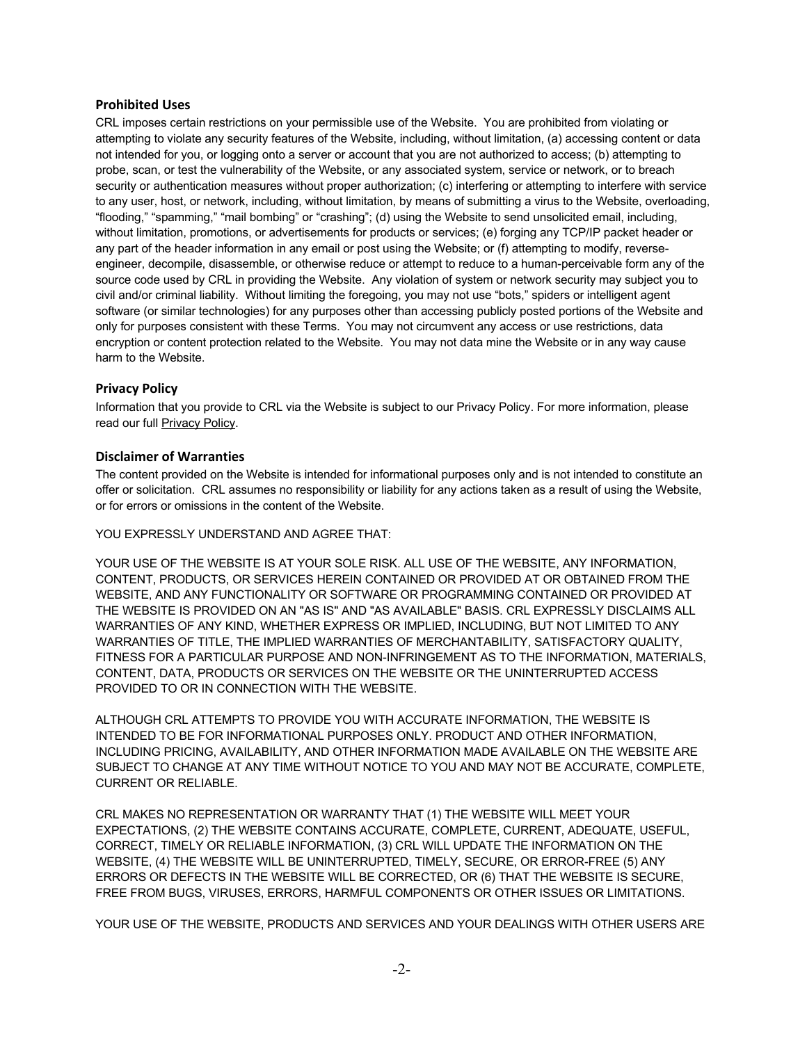# **Prohibited Uses**

CRL imposes certain restrictions on your permissible use of the Website. You are prohibited from violating or attempting to violate any security features of the Website, including, without limitation, (a) accessing content or data not intended for you, or logging onto a server or account that you are not authorized to access; (b) attempting to probe, scan, or test the vulnerability of the Website, or any associated system, service or network, or to breach security or authentication measures without proper authorization; (c) interfering or attempting to interfere with service to any user, host, or network, including, without limitation, by means of submitting a virus to the Website, overloading, "flooding," "spamming," "mail bombing" or "crashing"; (d) using the Website to send unsolicited email, including, without limitation, promotions, or advertisements for products or services; (e) forging any TCP/IP packet header or any part of the header information in any email or post using the Website; or (f) attempting to modify, reverseengineer, decompile, disassemble, or otherwise reduce or attempt to reduce to a human-perceivable form any of the source code used by CRL in providing the Website. Any violation of system or network security may subject you to civil and/or criminal liability. Without limiting the foregoing, you may not use "bots," spiders or intelligent agent software (or similar technologies) for any purposes other than accessing publicly posted portions of the Website and only for purposes consistent with these Terms. You may not circumvent any access or use restrictions, data encryption or content protection related to the Website. You may not data mine the Website or in any way cause harm to the Website.

# **Privacy Policy**

Information that you provide to CRL via the Website is subject to our Privacy Policy. For more information, please read our full [Privacy Policy.](http://www.crlaurence.com/apps/contentloader/default.aspx?content=www.crlaurence.com/general/policy/index_us.html)

# **Disclaimer of Warranties**

The content provided on the Website is intended for informational purposes only and is not intended to constitute an offer or solicitation. CRL assumes no responsibility or liability for any actions taken as a result of using the Website, or for errors or omissions in the content of the Website.

#### YOU EXPRESSLY UNDERSTAND AND AGREE THAT:

YOUR USE OF THE WEBSITE IS AT YOUR SOLE RISK. ALL USE OF THE WEBSITE, ANY INFORMATION, CONTENT, PRODUCTS, OR SERVICES HEREIN CONTAINED OR PROVIDED AT OR OBTAINED FROM THE WEBSITE, AND ANY FUNCTIONALITY OR SOFTWARE OR PROGRAMMING CONTAINED OR PROVIDED AT THE WEBSITE IS PROVIDED ON AN "AS IS" AND "AS AVAILABLE" BASIS. CRL EXPRESSLY DISCLAIMS ALL WARRANTIES OF ANY KIND, WHETHER EXPRESS OR IMPLIED, INCLUDING, BUT NOT LIMITED TO ANY WARRANTIES OF TITLE, THE IMPLIED WARRANTIES OF MERCHANTABILITY, SATISFACTORY QUALITY, FITNESS FOR A PARTICULAR PURPOSE AND NON-INFRINGEMENT AS TO THE INFORMATION, MATERIALS, CONTENT, DATA, PRODUCTS OR SERVICES ON THE WEBSITE OR THE UNINTERRUPTED ACCESS PROVIDED TO OR IN CONNECTION WITH THE WEBSITE.

ALTHOUGH CRL ATTEMPTS TO PROVIDE YOU WITH ACCURATE INFORMATION, THE WEBSITE IS INTENDED TO BE FOR INFORMATIONAL PURPOSES ONLY. PRODUCT AND OTHER INFORMATION, INCLUDING PRICING, AVAILABILITY, AND OTHER INFORMATION MADE AVAILABLE ON THE WEBSITE ARE SUBJECT TO CHANGE AT ANY TIME WITHOUT NOTICE TO YOU AND MAY NOT BE ACCURATE, COMPLETE, CURRENT OR RELIABLE.

CRL MAKES NO REPRESENTATION OR WARRANTY THAT (1) THE WEBSITE WILL MEET YOUR EXPECTATIONS, (2) THE WEBSITE CONTAINS ACCURATE, COMPLETE, CURRENT, ADEQUATE, USEFUL, CORRECT, TIMELY OR RELIABLE INFORMATION, (3) CRL WILL UPDATE THE INFORMATION ON THE WEBSITE, (4) THE WEBSITE WILL BE UNINTERRUPTED, TIMELY, SECURE, OR ERROR-FREE (5) ANY ERRORS OR DEFECTS IN THE WEBSITE WILL BE CORRECTED, OR (6) THAT THE WEBSITE IS SECURE, FREE FROM BUGS, VIRUSES, ERRORS, HARMFUL COMPONENTS OR OTHER ISSUES OR LIMITATIONS.

YOUR USE OF THE WEBSITE, PRODUCTS AND SERVICES AND YOUR DEALINGS WITH OTHER USERS ARE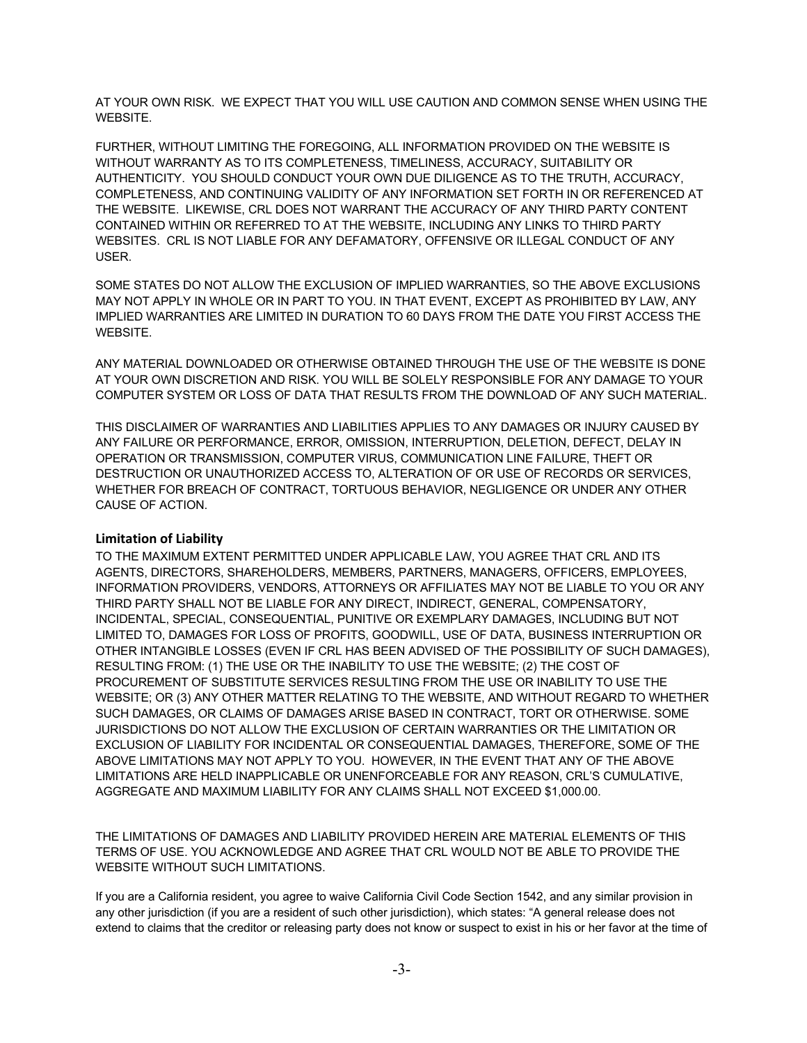AT YOUR OWN RISK. WE EXPECT THAT YOU WILL USE CAUTION AND COMMON SENSE WHEN USING THE WEBSITE.

FURTHER, WITHOUT LIMITING THE FOREGOING, ALL INFORMATION PROVIDED ON THE WEBSITE IS WITHOUT WARRANTY AS TO ITS COMPLETENESS, TIMELINESS, ACCURACY, SUITABILITY OR AUTHENTICITY. YOU SHOULD CONDUCT YOUR OWN DUE DILIGENCE AS TO THE TRUTH, ACCURACY, COMPLETENESS, AND CONTINUING VALIDITY OF ANY INFORMATION SET FORTH IN OR REFERENCED AT THE WEBSITE. LIKEWISE, CRL DOES NOT WARRANT THE ACCURACY OF ANY THIRD PARTY CONTENT CONTAINED WITHIN OR REFERRED TO AT THE WEBSITE, INCLUDING ANY LINKS TO THIRD PARTY WEBSITES. CRL IS NOT LIABLE FOR ANY DEFAMATORY, OFFENSIVE OR ILLEGAL CONDUCT OF ANY USER.

SOME STATES DO NOT ALLOW THE EXCLUSION OF IMPLIED WARRANTIES, SO THE ABOVE EXCLUSIONS MAY NOT APPLY IN WHOLE OR IN PART TO YOU. IN THAT EVENT, EXCEPT AS PROHIBITED BY LAW, ANY IMPLIED WARRANTIES ARE LIMITED IN DURATION TO 60 DAYS FROM THE DATE YOU FIRST ACCESS THE WEBSITE.

ANY MATERIAL DOWNLOADED OR OTHERWISE OBTAINED THROUGH THE USE OF THE WEBSITE IS DONE AT YOUR OWN DISCRETION AND RISK. YOU WILL BE SOLELY RESPONSIBLE FOR ANY DAMAGE TO YOUR COMPUTER SYSTEM OR LOSS OF DATA THAT RESULTS FROM THE DOWNLOAD OF ANY SUCH MATERIAL.

THIS DISCLAIMER OF WARRANTIES AND LIABILITIES APPLIES TO ANY DAMAGES OR INJURY CAUSED BY ANY FAILURE OR PERFORMANCE, ERROR, OMISSION, INTERRUPTION, DELETION, DEFECT, DELAY IN OPERATION OR TRANSMISSION, COMPUTER VIRUS, COMMUNICATION LINE FAILURE, THEFT OR DESTRUCTION OR UNAUTHORIZED ACCESS TO, ALTERATION OF OR USE OF RECORDS OR SERVICES, WHETHER FOR BREACH OF CONTRACT, TORTUOUS BEHAVIOR, NEGLIGENCE OR UNDER ANY OTHER CAUSE OF ACTION.

# **Limitation of Liability**

TO THE MAXIMUM EXTENT PERMITTED UNDER APPLICABLE LAW, YOU AGREE THAT CRL AND ITS AGENTS, DIRECTORS, SHAREHOLDERS, MEMBERS, PARTNERS, MANAGERS, OFFICERS, EMPLOYEES, INFORMATION PROVIDERS, VENDORS, ATTORNEYS OR AFFILIATES MAY NOT BE LIABLE TO YOU OR ANY THIRD PARTY SHALL NOT BE LIABLE FOR ANY DIRECT, INDIRECT, GENERAL, COMPENSATORY, INCIDENTAL, SPECIAL, CONSEQUENTIAL, PUNITIVE OR EXEMPLARY DAMAGES, INCLUDING BUT NOT LIMITED TO, DAMAGES FOR LOSS OF PROFITS, GOODWILL, USE OF DATA, BUSINESS INTERRUPTION OR OTHER INTANGIBLE LOSSES (EVEN IF CRL HAS BEEN ADVISED OF THE POSSIBILITY OF SUCH DAMAGES), RESULTING FROM: (1) THE USE OR THE INABILITY TO USE THE WEBSITE; (2) THE COST OF PROCUREMENT OF SUBSTITUTE SERVICES RESULTING FROM THE USE OR INABILITY TO USE THE WEBSITE; OR (3) ANY OTHER MATTER RELATING TO THE WEBSITE, AND WITHOUT REGARD TO WHETHER SUCH DAMAGES, OR CLAIMS OF DAMAGES ARISE BASED IN CONTRACT, TORT OR OTHERWISE. SOME JURISDICTIONS DO NOT ALLOW THE EXCLUSION OF CERTAIN WARRANTIES OR THE LIMITATION OR EXCLUSION OF LIABILITY FOR INCIDENTAL OR CONSEQUENTIAL DAMAGES, THEREFORE, SOME OF THE ABOVE LIMITATIONS MAY NOT APPLY TO YOU. HOWEVER, IN THE EVENT THAT ANY OF THE ABOVE LIMITATIONS ARE HELD INAPPLICABLE OR UNENFORCEABLE FOR ANY REASON, CRL'S CUMULATIVE, AGGREGATE AND MAXIMUM LIABILITY FOR ANY CLAIMS SHALL NOT EXCEED \$1,000.00.

THE LIMITATIONS OF DAMAGES AND LIABILITY PROVIDED HEREIN ARE MATERIAL ELEMENTS OF THIS TERMS OF USE. YOU ACKNOWLEDGE AND AGREE THAT CRL WOULD NOT BE ABLE TO PROVIDE THE WEBSITE WITHOUT SUCH LIMITATIONS.

If you are a California resident, you agree to waive California Civil Code Section 1542, and any similar provision in any other jurisdiction (if you are a resident of such other jurisdiction), which states: "A general release does not extend to claims that the creditor or releasing party does not know or suspect to exist in his or her favor at the time of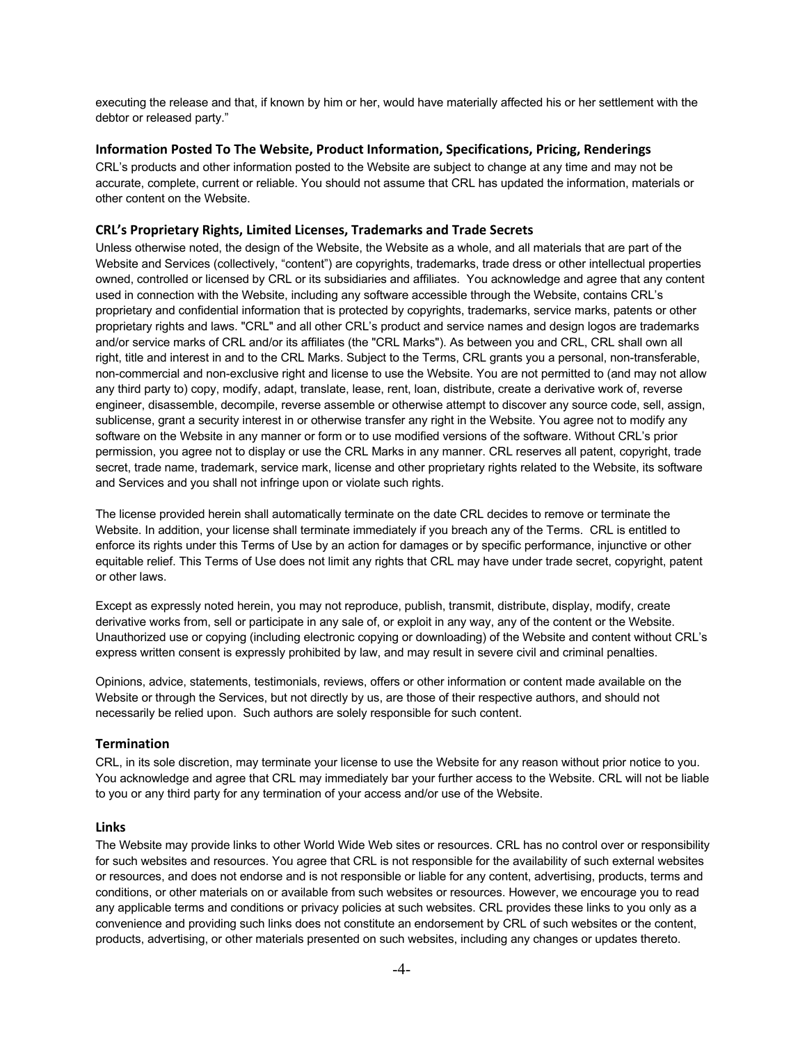executing the release and that, if known by him or her, would have materially affected his or her settlement with the debtor or released party."

### **Information Posted To The Website, Product Information, Specifications, Pricing, Renderings**

CRL's products and other information posted to the Website are subject to change at any time and may not be accurate, complete, current or reliable. You should not assume that CRL has updated the information, materials or other content on the Website.

### **CRL's Proprietary Rights, Limited Licenses, Trademarks and Trade Secrets**

Unless otherwise noted, the design of the Website, the Website as a whole, and all materials that are part of the Website and Services (collectively, "content") are copyrights, trademarks, trade dress or other intellectual properties owned, controlled or licensed by CRL or its subsidiaries and affiliates. You acknowledge and agree that any content used in connection with the Website, including any software accessible through the Website, contains CRL's proprietary and confidential information that is protected by copyrights, trademarks, service marks, patents or other proprietary rights and laws. "CRL" and all other CRL's product and service names and design logos are trademarks and/or service marks of CRL and/or its affiliates (the "CRL Marks"). As between you and CRL, CRL shall own all right, title and interest in and to the CRL Marks. Subject to the Terms, CRL grants you a personal, non-transferable, non-commercial and non-exclusive right and license to use the Website. You are not permitted to (and may not allow any third party to) copy, modify, adapt, translate, lease, rent, loan, distribute, create a derivative work of, reverse engineer, disassemble, decompile, reverse assemble or otherwise attempt to discover any source code, sell, assign, sublicense, grant a security interest in or otherwise transfer any right in the Website. You agree not to modify any software on the Website in any manner or form or to use modified versions of the software. Without CRL's prior permission, you agree not to display or use the CRL Marks in any manner. CRL reserves all patent, copyright, trade secret, trade name, trademark, service mark, license and other proprietary rights related to the Website, its software and Services and you shall not infringe upon or violate such rights.

The license provided herein shall automatically terminate on the date CRL decides to remove or terminate the Website. In addition, your license shall terminate immediately if you breach any of the Terms. CRL is entitled to enforce its rights under this Terms of Use by an action for damages or by specific performance, injunctive or other equitable relief. This Terms of Use does not limit any rights that CRL may have under trade secret, copyright, patent or other laws.

Except as expressly noted herein, you may not reproduce, publish, transmit, distribute, display, modify, create derivative works from, sell or participate in any sale of, or exploit in any way, any of the content or the Website. Unauthorized use or copying (including electronic copying or downloading) of the Website and content without CRL's express written consent is expressly prohibited by law, and may result in severe civil and criminal penalties.

Opinions, advice, statements, testimonials, reviews, offers or other information or content made available on the Website or through the Services, but not directly by us, are those of their respective authors, and should not necessarily be relied upon. Such authors are solely responsible for such content.

#### **Termination**

CRL, in its sole discretion, may terminate your license to use the Website for any reason without prior notice to you. You acknowledge and agree that CRL may immediately bar your further access to the Website. CRL will not be liable to you or any third party for any termination of your access and/or use of the Website.

#### **Links**

The Website may provide links to other World Wide Web sites or resources. CRL has no control over or responsibility for such websites and resources. You agree that CRL is not responsible for the availability of such external websites or resources, and does not endorse and is not responsible or liable for any content, advertising, products, terms and conditions, or other materials on or available from such websites or resources. However, we encourage you to read any applicable terms and conditions or privacy policies at such websites. CRL provides these links to you only as a convenience and providing such links does not constitute an endorsement by CRL of such websites or the content, products, advertising, or other materials presented on such websites, including any changes or updates thereto.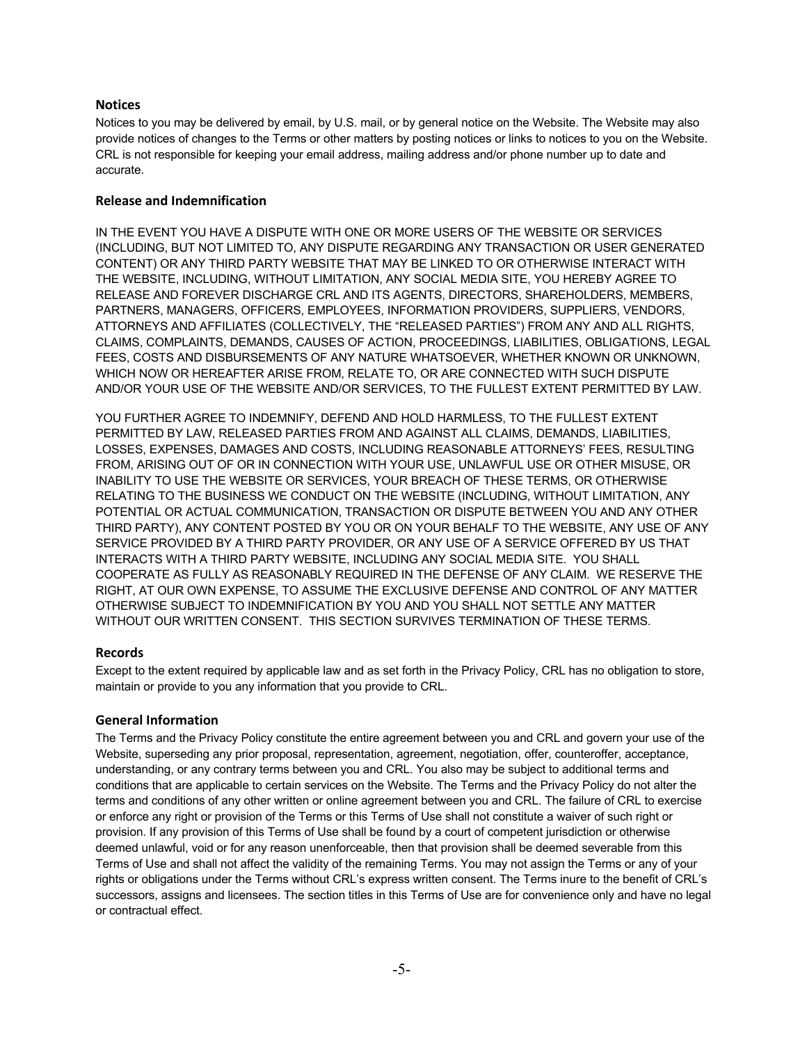# **Notices**

Notices to you may be delivered by email, by U.S. mail, or by general notice on the Website. The Website may also provide notices of changes to the Terms or other matters by posting notices or links to notices to you on the Website. CRL is not responsible for keeping your email address, mailing address and/or phone number up to date and accurate.

# **Release and Indemnification**

IN THE EVENT YOU HAVE A DISPUTE WITH ONE OR MORE USERS OF THE WEBSITE OR SERVICES (INCLUDING, BUT NOT LIMITED TO, ANY DISPUTE REGARDING ANY TRANSACTION OR USER GENERATED CONTENT) OR ANY THIRD PARTY WEBSITE THAT MAY BE LINKED TO OR OTHERWISE INTERACT WITH THE WEBSITE, INCLUDING, WITHOUT LIMITATION, ANY SOCIAL MEDIA SITE, YOU HEREBY AGREE TO RELEASE AND FOREVER DISCHARGE CRL AND ITS AGENTS, DIRECTORS, SHAREHOLDERS, MEMBERS, PARTNERS, MANAGERS, OFFICERS, EMPLOYEES, INFORMATION PROVIDERS, SUPPLIERS, VENDORS, ATTORNEYS AND AFFILIATES (COLLECTIVELY, THE "RELEASED PARTIES") FROM ANY AND ALL RIGHTS, CLAIMS, COMPLAINTS, DEMANDS, CAUSES OF ACTION, PROCEEDINGS, LIABILITIES, OBLIGATIONS, LEGAL FEES, COSTS AND DISBURSEMENTS OF ANY NATURE WHATSOEVER, WHETHER KNOWN OR UNKNOWN, WHICH NOW OR HEREAFTER ARISE FROM, RELATE TO, OR ARE CONNECTED WITH SUCH DISPUTE AND/OR YOUR USE OF THE WEBSITE AND/OR SERVICES, TO THE FULLEST EXTENT PERMITTED BY LAW.

YOU FURTHER AGREE TO INDEMNIFY, DEFEND AND HOLD HARMLESS, TO THE FULLEST EXTENT PERMITTED BY LAW, RELEASED PARTIES FROM AND AGAINST ALL CLAIMS, DEMANDS, LIABILITIES, LOSSES, EXPENSES, DAMAGES AND COSTS, INCLUDING REASONABLE ATTORNEYS' FEES, RESULTING FROM, ARISING OUT OF OR IN CONNECTION WITH YOUR USE, UNLAWFUL USE OR OTHER MISUSE, OR INABILITY TO USE THE WEBSITE OR SERVICES, YOUR BREACH OF THESE TERMS, OR OTHERWISE RELATING TO THE BUSINESS WE CONDUCT ON THE WEBSITE (INCLUDING, WITHOUT LIMITATION, ANY POTENTIAL OR ACTUAL COMMUNICATION, TRANSACTION OR DISPUTE BETWEEN YOU AND ANY OTHER THIRD PARTY), ANY CONTENT POSTED BY YOU OR ON YOUR BEHALF TO THE WEBSITE, ANY USE OF ANY SERVICE PROVIDED BY A THIRD PARTY PROVIDER, OR ANY USE OF A SERVICE OFFERED BY US THAT INTERACTS WITH A THIRD PARTY WEBSITE, INCLUDING ANY SOCIAL MEDIA SITE. YOU SHALL COOPERATE AS FULLY AS REASONABLY REQUIRED IN THE DEFENSE OF ANY CLAIM. WE RESERVE THE RIGHT, AT OUR OWN EXPENSE, TO ASSUME THE EXCLUSIVE DEFENSE AND CONTROL OF ANY MATTER OTHERWISE SUBJECT TO INDEMNIFICATION BY YOU AND YOU SHALL NOT SETTLE ANY MATTER WITHOUT OUR WRITTEN CONSENT. THIS SECTION SURVIVES TERMINATION OF THESE TERMS.

# **Records**

Except to the extent required by applicable law and as set forth in the Privacy Policy, CRL has no obligation to store, maintain or provide to you any information that you provide to CRL.

# **General Information**

The Terms and the Privacy Policy constitute the entire agreement between you and CRL and govern your use of the Website, superseding any prior proposal, representation, agreement, negotiation, offer, counteroffer, acceptance, understanding, or any contrary terms between you and CRL. You also may be subject to additional terms and conditions that are applicable to certain services on the Website. The Terms and the Privacy Policy do not alter the terms and conditions of any other written or online agreement between you and CRL. The failure of CRL to exercise or enforce any right or provision of the Terms or this Terms of Use shall not constitute a waiver of such right or provision. If any provision of this Terms of Use shall be found by a court of competent jurisdiction or otherwise deemed unlawful, void or for any reason unenforceable, then that provision shall be deemed severable from this Terms of Use and shall not affect the validity of the remaining Terms. You may not assign the Terms or any of your rights or obligations under the Terms without CRL's express written consent. The Terms inure to the benefit of CRL's successors, assigns and licensees. The section titles in this Terms of Use are for convenience only and have no legal or contractual effect.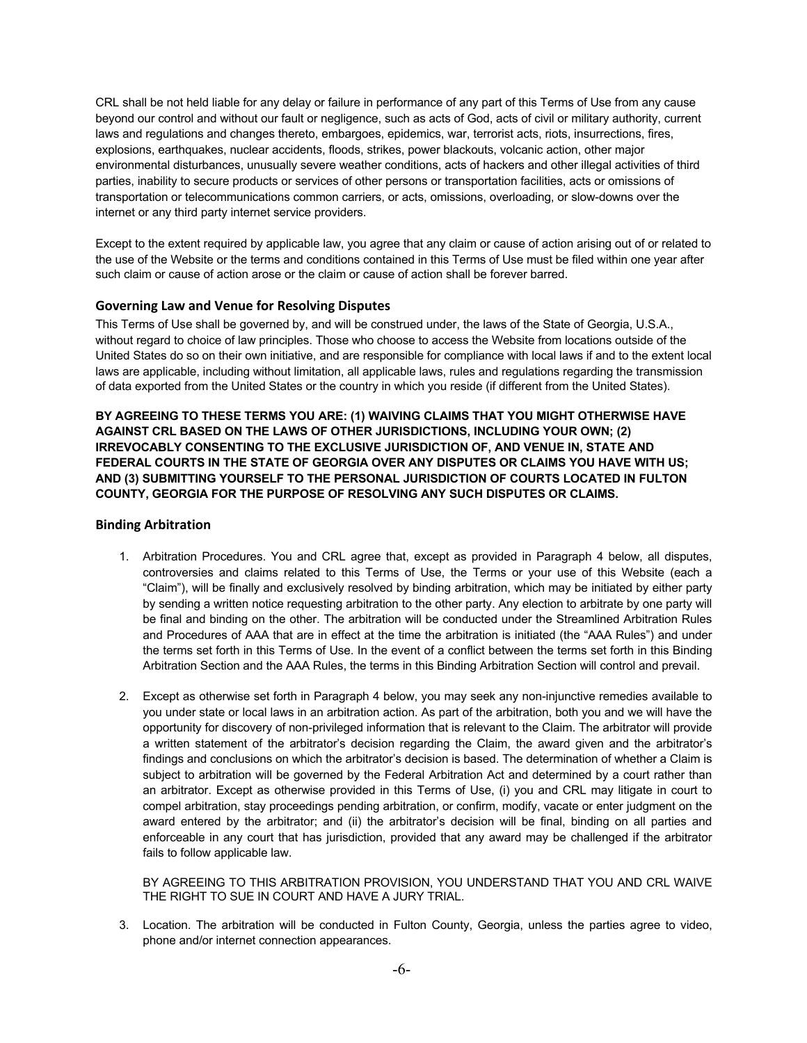CRL shall be not held liable for any delay or failure in performance of any part of this Terms of Use from any cause beyond our control and without our fault or negligence, such as acts of God, acts of civil or military authority, current laws and regulations and changes thereto, embargoes, epidemics, war, terrorist acts, riots, insurrections, fires, explosions, earthquakes, nuclear accidents, floods, strikes, power blackouts, volcanic action, other major environmental disturbances, unusually severe weather conditions, acts of hackers and other illegal activities of third parties, inability to secure products or services of other persons or transportation facilities, acts or omissions of transportation or telecommunications common carriers, or acts, omissions, overloading, or slow-downs over the internet or any third party internet service providers.

Except to the extent required by applicable law, you agree that any claim or cause of action arising out of or related to the use of the Website or the terms and conditions contained in this Terms of Use must be filed within one year after such claim or cause of action arose or the claim or cause of action shall be forever barred.

# **Governing Law and Venue for Resolving Disputes**

This Terms of Use shall be governed by, and will be construed under, the laws of the State of Georgia, U.S.A., without regard to choice of law principles. Those who choose to access the Website from locations outside of the United States do so on their own initiative, and are responsible for compliance with local laws if and to the extent local laws are applicable, including without limitation, all applicable laws, rules and regulations regarding the transmission of data exported from the United States or the country in which you reside (if different from the United States).

**BY AGREEING TO THESE TERMS YOU ARE: (1) WAIVING CLAIMS THAT YOU MIGHT OTHERWISE HAVE AGAINST CRL BASED ON THE LAWS OF OTHER JURISDICTIONS, INCLUDING YOUR OWN; (2) IRREVOCABLY CONSENTING TO THE EXCLUSIVE JURISDICTION OF, AND VENUE IN, STATE AND FEDERAL COURTS IN THE STATE OF GEORGIA OVER ANY DISPUTES OR CLAIMS YOU HAVE WITH US; AND (3) SUBMITTING YOURSELF TO THE PERSONAL JURISDICTION OF COURTS LOCATED IN FULTON COUNTY, GEORGIA FOR THE PURPOSE OF RESOLVING ANY SUCH DISPUTES OR CLAIMS.**

# **Binding Arbitration**

- 1. Arbitration Procedures. You and CRL agree that, except as provided in Paragraph 4 below, all disputes, controversies and claims related to this Terms of Use, the Terms or your use of this Website (each a "Claim"), will be finally and exclusively resolved by binding arbitration, which may be initiated by either party by sending a written notice requesting arbitration to the other party. Any election to arbitrate by one party will be final and binding on the other. The arbitration will be conducted under the Streamlined Arbitration Rules and Procedures of AAA that are in effect at the time the arbitration is initiated (the "AAA Rules") and under the terms set forth in this Terms of Use. In the event of a conflict between the terms set forth in this Binding Arbitration Section and the AAA Rules, the terms in this Binding Arbitration Section will control and prevail.
- 2. Except as otherwise set forth in Paragraph 4 below, you may seek any non-injunctive remedies available to you under state or local laws in an arbitration action. As part of the arbitration, both you and we will have the opportunity for discovery of non-privileged information that is relevant to the Claim. The arbitrator will provide a written statement of the arbitrator's decision regarding the Claim, the award given and the arbitrator's findings and conclusions on which the arbitrator's decision is based. The determination of whether a Claim is subject to arbitration will be governed by the Federal Arbitration Act and determined by a court rather than an arbitrator. Except as otherwise provided in this Terms of Use, (i) you and CRL may litigate in court to compel arbitration, stay proceedings pending arbitration, or confirm, modify, vacate or enter judgment on the award entered by the arbitrator; and (ii) the arbitrator's decision will be final, binding on all parties and enforceable in any court that has jurisdiction, provided that any award may be challenged if the arbitrator fails to follow applicable law.

BY AGREEING TO THIS ARBITRATION PROVISION, YOU UNDERSTAND THAT YOU AND CRL WAIVE THE RIGHT TO SUE IN COURT AND HAVE A JURY TRIAL.

3. Location. The arbitration will be conducted in Fulton County, Georgia, unless the parties agree to video, phone and/or internet connection appearances.